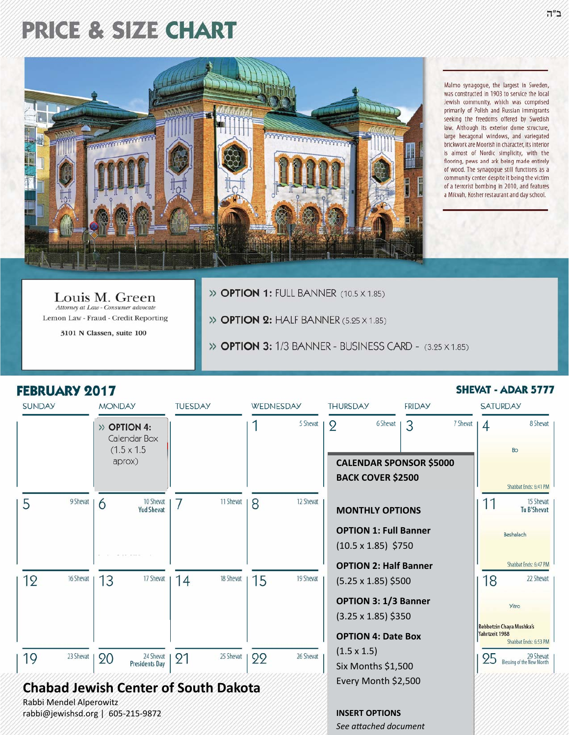# **PRICE & SIZE CHART**



Malmo synagogue, the largest in Sweden, was constructed in 1903 to service the local Jewish community, which was comprised primarily of Polish and Russian immigrants seeking the freedoms offered by Swedish law. Although its exterior dome structure, large hexagonal windows, and variegated brickwork are Moorish in character, its interior is almost of Nordic simplicity, with the flooring, pews and ark being made entirely of wood. The synagogue still functions as a community center despite it being the victim of a terrorist bombing in 2010, and features a Mikvah, Kosher restaurant and day school.

Louis M. Green Attorney at Law - Consumer advocate Lemon Law - Fraud - Credit Reporting

3101 N Classen, suite 100

>> OPTION 1: FULL BANNER (10.5 X 1.85)

>> OPTION 2: HALF BANNER (5.25 X 1.85)

>> **OPTION 3:** 1/3 BANNER - BUSINESS CARD - (3.25 X 1.85)

### **FEBRUARY 2017**

#### **SUNDAY MONDAY THURSDAY FRIDAY TUESDAY** WEDNESDAY **SATURDAY** 5 Shevat 6 Shevat 7 Shevat 1 9 3  $\overline{\mathcal{A}}$ 8 Shevat  $\gg$  OPTION 4: Calendar Box  $(1.5 \times 1.5)$  $R<sub>0</sub>$ aprox) **CALENDAR SPONSOR \$5000 BACK COVER \$2500** Shabbat Ends: 6:41 PM 5 9 Shevat | 10 Shevat 11 Shevat 12 Shevat 15 Shevat 8 11 6 7 **Yud Shevat MONTHLY OPTIONS Tu B'Shevat OPTION 1: Full Banner** Beshalach  $(10.5 \times 1.85)$ \$750 Shabbat Ends: 6:47 PM **OPTION 2: Half Banner** 17 Shevat 18 Shevat 19 16 Shevat 15 19 Shevat 22 Shevat  $13$  $14$ 18  $(5.25 \times 1.85)$ \$500 **OPTION 3: 1/3 Banner Yitro**  $(3.25 \times 1.85)$ \$350 Rebbetzin Chaya Mushka's Yahrtzeit 1988 **OPTION 4: Date Box** Shabbat Ends: 6:53 PM  $(1.5 \times 1.5)$ 26 Shevat 19 23 Shevat | 25 Shevat 29 Shevat<br>Blessing of the New Month 90 24 Shevat 91 99 95 **Presidents Day** Six Months \$1,500 Every Month \$2,500 **Chabad Jewish Center of South Dakota** Rabbi Mendel Alperowitz rabbi@jewishsd.org | 605-215-9872 **INSERT OPTIONS** See attached document

### **SHEVAT - ADAR 5777**